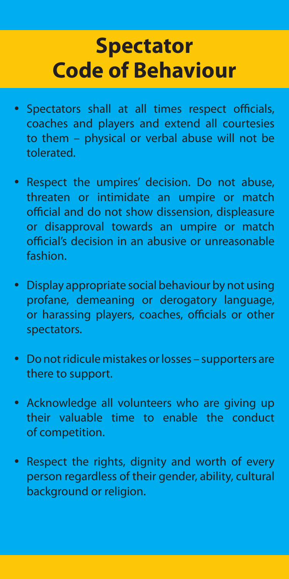## **Spectator Code of Behaviour**

- Spectators shall at all times respect officials, coaches and players and extend all courtesies to them – physical or verbal abuse will not be tolerated.
- Respect the umpires' decision. Do not abuse, threaten or intimidate an umpire or match official and do not show dissension, displeasure or disapproval towards an umpire or match official's decision in an abusive or unreasonable fashion.
- Display appropriate social behaviour by not using profane, demeaning or derogatory language, or harassing players, coaches, officials or other spectators.
- Do not ridicule mistakes or losses supporters are there to support.
- Acknowledge all volunteers who are giving up their valuable time to enable the conduct of competition.
- Respect the rights, dignity and worth of every person regardless of their gender, ability, cultural background or religion.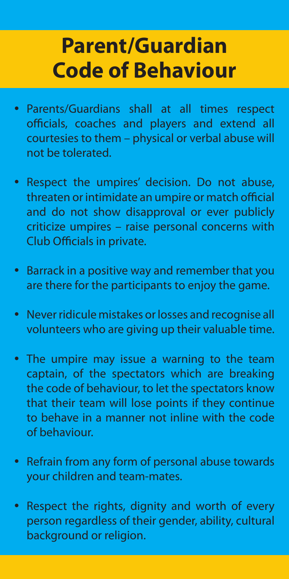## **Parent/Guardian Code of Behaviour**

- Parents/Guardians shall at all times respect officials, coaches and players and extend all courtesies to them – physical or verbal abuse will not be tolerated.
- Respect the umpires' decision. Do not abuse, threaten or intimidate an umpire or match official and do not show disapproval or ever publicly criticize umpires – raise personal concerns with Club Officials in private.
- Barrack in a positive way and remember that you are there for the participants to enjoy the game.
- Never ridicule mistakes or losses and recognise all volunteers who are giving up their valuable time.
- The umpire may issue a warning to the team captain, of the spectators which are breaking the code of behaviour, to let the spectators know that their team will lose points if they continue to behave in a manner not inline with the code of behaviour.
- Refrain from any form of personal abuse towards your children and team-mates.
- Respect the rights, dignity and worth of every person regardless of their gender, ability, cultural background or religion.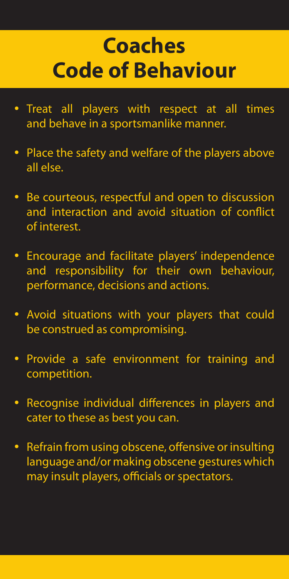## **Coaches Code of Behaviour**

- Treat all players with respect at all times and behave in a sportsmanlike manner.
- Place the safety and welfare of the players above all else.
- Be courteous, respectful and open to discussion and interaction and avoid situation of conflict of interest.
- Encourage and facilitate players' independence and responsibility for their own behaviour, performance, decisions and actions.
- Avoid situations with your players that could be construed as compromising.
- Provide a safe environment for training and competition.
- Recognise individual differences in players and cater to these as best you can.
- Refrain from using obscene, offensive or insulting language and/or making obscene gestures which may insult players, officials or spectators.